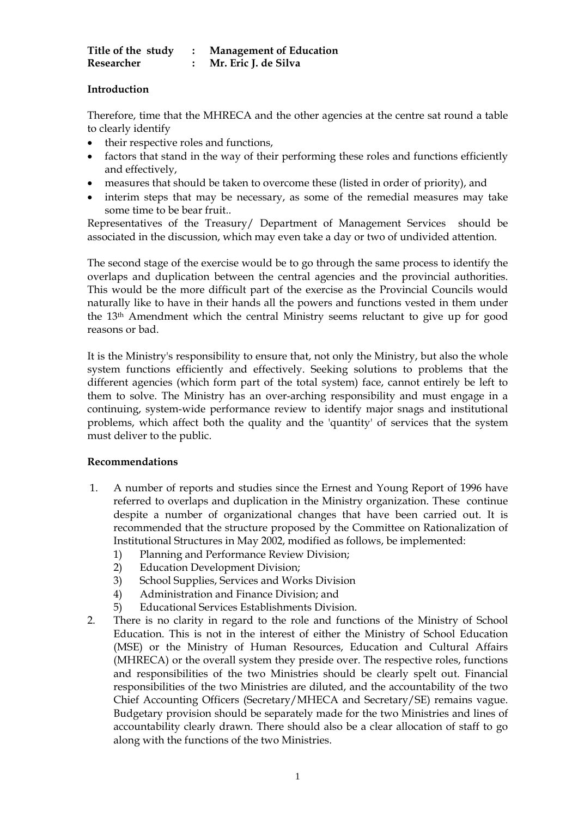| Title of the study | <b>Management of Education</b> |
|--------------------|--------------------------------|
| Researcher         | Mr. Eric J. de Silva           |

## **Introduction**

Therefore, time that the MHRECA and the other agencies at the centre sat round a table to clearly identify

- their respective roles and functions,
- factors that stand in the way of their performing these roles and functions efficiently and effectively,
- measures that should be taken to overcome these (listed in order of priority), and
- interim steps that may be necessary, as some of the remedial measures may take some time to be bear fruit..

Representatives of the Treasury/ Department of Management Services should be associated in the discussion, which may even take a day or two of undivided attention.

The second stage of the exercise would be to go through the same process to identify the overlaps and duplication between the central agencies and the provincial authorities. This would be the more difficult part of the exercise as the Provincial Councils would naturally like to have in their hands all the powers and functions vested in them under the 13th Amendment which the central Ministry seems reluctant to give up for good reasons or bad.

It is the Ministry's responsibility to ensure that, not only the Ministry, but also the whole system functions efficiently and effectively. Seeking solutions to problems that the different agencies (which form part of the total system) face, cannot entirely be left to them to solve. The Ministry has an over-arching responsibility and must engage in a continuing, system-wide performance review to identify major snags and institutional problems, which affect both the quality and the 'quantity' of services that the system must deliver to the public.

## **Recommendations**

- 1. A number of reports and studies since the Ernest and Young Report of 1996 have referred to overlaps and duplication in the Ministry organization. These continue despite a number of organizational changes that have been carried out. It is recommended that the structure proposed by the Committee on Rationalization of Institutional Structures in May 2002, modified as follows, be implemented:
	- 1) Planning and Performance Review Division;
	- 2) Education Development Division;
	- 3) School Supplies, Services and Works Division
	- 4) Administration and Finance Division; and
	- 5) Educational Services Establishments Division.
- 2. There is no clarity in regard to the role and functions of the Ministry of School Education. This is not in the interest of either the Ministry of School Education (MSE) or the Ministry of Human Resources, Education and Cultural Affairs (MHRECA) or the overall system they preside over. The respective roles, functions and responsibilities of the two Ministries should be clearly spelt out. Financial responsibilities of the two Ministries are diluted, and the accountability of the two Chief Accounting Officers (Secretary/MHECA and Secretary/SE) remains vague. Budgetary provision should be separately made for the two Ministries and lines of accountability clearly drawn. There should also be a clear allocation of staff to go along with the functions of the two Ministries.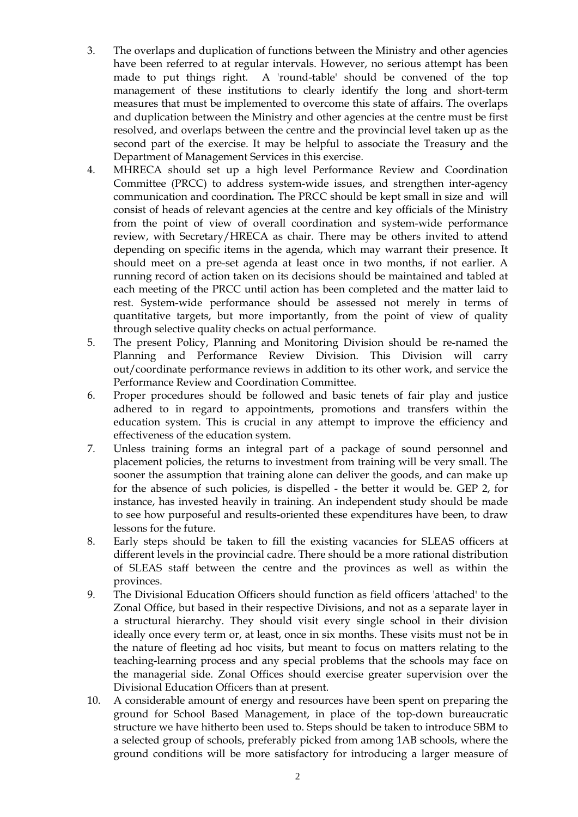- 3. The overlaps and duplication of functions between the Ministry and other agencies have been referred to at regular intervals. However, no serious attempt has been made to put things right. A 'round-table' should be convened of the top management of these institutions to clearly identify the long and short-term measures that must be implemented to overcome this state of affairs. The overlaps and duplication between the Ministry and other agencies at the centre must be first resolved, and overlaps between the centre and the provincial level taken up as the second part of the exercise. It may be helpful to associate the Treasury and the Department of Management Services in this exercise.
- 4. MHRECA should set up a high level Performance Review and Coordination Committee (PRCC) to address system-wide issues, and strengthen inter-agency communication and coordination*.* The PRCC should be kept small in size and will consist of heads of relevant agencies at the centre and key officials of the Ministry from the point of view of overall coordination and system-wide performance review, with Secretary/HRECA as chair. There may be others invited to attend depending on specific items in the agenda, which may warrant their presence. It should meet on a pre-set agenda at least once in two months, if not earlier. A running record of action taken on its decisions should be maintained and tabled at each meeting of the PRCC until action has been completed and the matter laid to rest. System-wide performance should be assessed not merely in terms of quantitative targets, but more importantly, from the point of view of quality through selective quality checks on actual performance.
- 5. The present Policy, Planning and Monitoring Division should be re-named the Planning and Performance Review Division. This Division will carry out/coordinate performance reviews in addition to its other work, and service the Performance Review and Coordination Committee.
- 6. Proper procedures should be followed and basic tenets of fair play and justice adhered to in regard to appointments, promotions and transfers within the education system. This is crucial in any attempt to improve the efficiency and effectiveness of the education system.
- 7. Unless training forms an integral part of a package of sound personnel and placement policies, the returns to investment from training will be very small. The sooner the assumption that training alone can deliver the goods, and can make up for the absence of such policies, is dispelled - the better it would be. GEP 2, for instance, has invested heavily in training. An independent study should be made to see how purposeful and results-oriented these expenditures have been, to draw lessons for the future.
- 8. Early steps should be taken to fill the existing vacancies for SLEAS officers at different levels in the provincial cadre. There should be a more rational distribution of SLEAS staff between the centre and the provinces as well as within the provinces.
- 9. The Divisional Education Officers should function as field officers 'attached' to the Zonal Office, but based in their respective Divisions, and not as a separate layer in a structural hierarchy. They should visit every single school in their division ideally once every term or, at least, once in six months. These visits must not be in the nature of fleeting ad hoc visits, but meant to focus on matters relating to the teaching-learning process and any special problems that the schools may face on the managerial side. Zonal Offices should exercise greater supervision over the Divisional Education Officers than at present.
- 10. A considerable amount of energy and resources have been spent on preparing the ground for School Based Management, in place of the top-down bureaucratic structure we have hitherto been used to. Steps should be taken to introduce SBM to a selected group of schools, preferably picked from among 1AB schools, where the ground conditions will be more satisfactory for introducing a larger measure of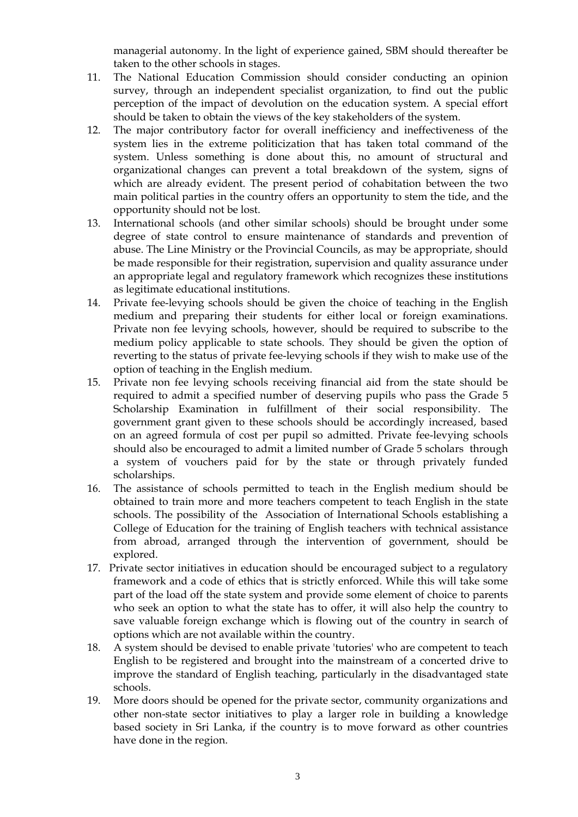managerial autonomy. In the light of experience gained, SBM should thereafter be taken to the other schools in stages.

- 11. The National Education Commission should consider conducting an opinion survey, through an independent specialist organization, to find out the public perception of the impact of devolution on the education system. A special effort should be taken to obtain the views of the key stakeholders of the system.
- 12. The major contributory factor for overall inefficiency and ineffectiveness of the system lies in the extreme politicization that has taken total command of the system. Unless something is done about this, no amount of structural and organizational changes can prevent a total breakdown of the system, signs of which are already evident. The present period of cohabitation between the two main political parties in the country offers an opportunity to stem the tide, and the opportunity should not be lost.
- 13. International schools (and other similar schools) should be brought under some degree of state control to ensure maintenance of standards and prevention of abuse. The Line Ministry or the Provincial Councils, as may be appropriate, should be made responsible for their registration, supervision and quality assurance under an appropriate legal and regulatory framework which recognizes these institutions as legitimate educational institutions.
- 14. Private fee-levying schools should be given the choice of teaching in the English medium and preparing their students for either local or foreign examinations. Private non fee levying schools, however, should be required to subscribe to the medium policy applicable to state schools. They should be given the option of reverting to the status of private fee-levying schools if they wish to make use of the option of teaching in the English medium.
- 15. Private non fee levying schools receiving financial aid from the state should be required to admit a specified number of deserving pupils who pass the Grade 5 Scholarship Examination in fulfillment of their social responsibility. The government grant given to these schools should be accordingly increased, based on an agreed formula of cost per pupil so admitted. Private fee-levying schools should also be encouraged to admit a limited number of Grade 5 scholars through a system of vouchers paid for by the state or through privately funded scholarships.
- 16. The assistance of schools permitted to teach in the English medium should be obtained to train more and more teachers competent to teach English in the state schools. The possibility of the Association of International Schools establishing a College of Education for the training of English teachers with technical assistance from abroad, arranged through the intervention of government, should be explored.
- 17. Private sector initiatives in education should be encouraged subject to a regulatory framework and a code of ethics that is strictly enforced. While this will take some part of the load off the state system and provide some element of choice to parents who seek an option to what the state has to offer, it will also help the country to save valuable foreign exchange which is flowing out of the country in search of options which are not available within the country.
- 18. A system should be devised to enable private 'tutories' who are competent to teach English to be registered and brought into the mainstream of a concerted drive to improve the standard of English teaching, particularly in the disadvantaged state schools.
- 19. More doors should be opened for the private sector, community organizations and other non-state sector initiatives to play a larger role in building a knowledge based society in Sri Lanka, if the country is to move forward as other countries have done in the region.